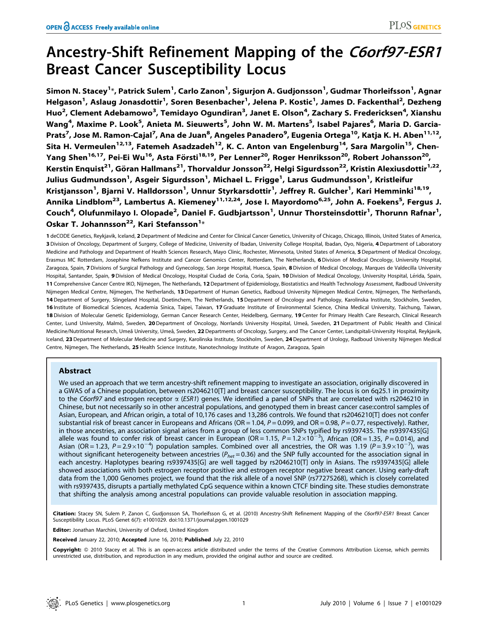# Ancestry-Shift Refinement Mapping of the C6orf97-ESR1 Breast Cancer Susceptibility Locus

Simon N. Stacey<sup>1</sup>\*, Patrick Sulem<sup>1</sup>, Carlo Zanon<sup>1</sup>, Sigurjon A. Gudjonsson<sup>1</sup>, Gudmar Thorleifsson<sup>1</sup>, Agnar Helgason<sup>1</sup>, Aslaug Jonasdottir<sup>1</sup>, Soren Besenbacher<sup>1</sup>, Jelena P. Kostic<sup>1</sup>, James D. Fackenthal<sup>2</sup>, Dezheng Huo<sup>2</sup>, Clement Adebamowo<sup>3</sup>, Temidayo Ogundiran<sup>3</sup>, Janet E. Olson<sup>4</sup>, Zachary S. Fredericksen<sup>4</sup>, Xianshu Wang<sup>4</sup>, Maxime P. Look<sup>5</sup>, Anieta M. Sieuwerts<sup>5</sup>, John W. M. Martens<sup>5</sup>, Isabel Pajares<sup>6</sup>, Maria D. Garcia-Prats<sup>7</sup>, Jose M. Ramon-Cajal<sup>7</sup>, Ana de Juan<sup>8</sup>, Angeles Panadero<sup>9</sup>, Eugenia Ortega<sup>10</sup>, Katja K. H. Aben<sup>11,12</sup>, Sita H. Vermeulen<sup>12,13</sup>, Fatemeh Asadzadeh<sup>12</sup>, K. C. Anton van Engelenburg<sup>14</sup>, Sara Margolin<sup>15</sup>, Chen-Yang Shen<sup>16,17</sup>, Pei-Ei Wu<sup>16</sup>, Asta Försti<sup>18,19</sup>, Per Lenner<sup>20</sup>, Roger Henriksson<sup>20</sup>, Robert Johansson<sup>20</sup>, Kerstin Enquist<sup>21</sup>, Göran Hallmans<sup>21</sup>, Thorvaldur Jonsson<sup>22</sup>, Helgi Sigurdsson<sup>22</sup>, Kristin Alexiusdottir<sup>1,22</sup>, Julius Gudmundsson<sup>1</sup>, Asgeir Sigurdsson<sup>1</sup>, Michael L. Frigge<sup>1</sup>, Larus Gudmundsson<sup>1</sup>, Kristleifur Kristjansson<sup>1</sup>, Bjarni V. Halldorsson<sup>1</sup>, Unnur Styrkarsdottir<sup>1</sup>, Jeffrey R. Gulcher<sup>1</sup>, Kari Hemminki<sup>18,19</sup>, Annika Lindblom<sup>23</sup>, Lambertus A. Kiemeney<sup>11,12,24</sup>, Jose I. Mayordomo<sup>6,25</sup>, John A. Foekens<sup>5</sup>, Fergus J. Couch<sup>4</sup>, Olufunmilayo I. Olopade<sup>2</sup>, Daniel F. Gudbjartsson<sup>1</sup>, Unnur Thorsteinsdottir<sup>1</sup>, Thorunn Rafnar<sup>1</sup>, Oskar T. Johannsson $^{22}$ , Kari Stefansson $^{1\ast}$ 

1 deCODE Genetics, Reykjavik, Iceland, 2 Department of Medicine and Center for Clinical Cancer Genetics, University of Chicago, Chicago, Illinois, United States of America, 3 Division of Oncology, Department of Surgery, College of Medicine, University of Ibadan, University College Hospital, Ibadan, Oyo, Nigeria, 4 Department of Laboratory Medicine and Pathology and Department of Health Sciences Research, Mayo Clinic, Rochester, Minnesota, United States of America, 5 Department of Medical Oncology, Erasmus MC Rotterdam, Josephine Nefkens Institute and Cancer Genomics Center, Rotterdam, The Netherlands, 6 Division of Medical Oncology, University Hospital, Zaragoza, Spain, 7 Divisions of Surgical Pathology and Gynecology, San Jorge Hospital, Huesca, Spain, 8 Division of Medical Oncology, Marques de Valdecilla University Hospital, Santander, Spain, 9 Division of Medical Oncology, Hospital Ciudad de Coria, Coria, Spain, 10 Division of Medical Oncology, University Hospital, Lérida, Spain, 11 Comprehensive Cancer Centre IKO, Nijmegen, The Netherlands, 12 Department of Epidemiology, Biostatistics and Health Technology Assessment, Radboud University Nijmegen Medical Centre, Nijmegen, The Netherlands, 13 Department of Human Genetics, Radboud University Nijmegen Medical Centre, Nijmegen, The Netherlands, 14 Department of Surgery, Slingeland Hospital, Doetinchem, The Netherlands, 15 Department of Oncology and Pathology, Karolinska Institute, Stockholm, Sweden, 16 Institute of Biomedical Sciences, Academia Sinica, Taipei, Taiwan, 17 Graduate Institute of Environmental Science, China Medical University, Taichung, Taiwan, 18 Division of Molecular Genetic Epidemiology, German Cancer Research Center, Heidelberg, Germany, 19 Center for Primary Health Care Research, Clinical Research Center, Lund University, Malmö, Sweden, 20 Department of Oncology, Norrlands University Hospital, Umeå, Sweden, 21 Department of Public Health and Clinical Medicine/Nutritional Research, Umeå University, Umeå, Sweden, 22 Departments of Oncology, Surgery, and The Cancer Center, Landspitali-University Hospital, Reykjavik, Iceland, 23 Department of Molecular Medicine and Surgery, Karolinska Institute, Stockholm, Sweden, 24 Department of Urology, Radboud University Nijmegen Medical Centre, Nijmegen, The Netherlands, 25 Health Science Institute, Nanotechnology Institute of Aragon, Zaragoza, Spain

## Abstract

We used an approach that we term ancestry-shift refinement mapping to investigate an association, originally discovered in a GWAS of a Chinese population, between rs2046210[T] and breast cancer susceptibility. The locus is on 6q25.1 in proximity to the C6orf97 and estrogen receptor  $\alpha$  (ESR1) genes. We identified a panel of SNPs that are correlated with rs2046210 in Chinese, but not necessarily so in other ancestral populations, and genotyped them in breast cancer case:control samples of Asian, European, and African origin, a total of 10,176 cases and 13,286 controls. We found that rs2046210[T] does not confer substantial risk of breast cancer in Europeans and Africans (OR = 1.04,  $P = 0.099$ , and OR = 0.98,  $P = 0.77$ , respectively). Rather, in those ancestries, an association signal arises from a group of less common SNPs typified by rs9397435. The rs9397435[G] allele was found to confer risk of breast cancer in European (OR=1.15, P=1.2×10<sup>-3</sup>), African (OR=1.35, P=0.014), and Asian (OR = 1.23, P = 2.9 $\times$ 10<sup>-4</sup>) population samples. Combined over all ancestries, the OR was 1.19 (P = 3.9 $\times$ 10<sup>-7</sup>), was without significant heterogeneity between ancestries ( $P_{het}$  = 0.36) and the SNP fully accounted for the association signal in each ancestry. Haplotypes bearing rs9397435[G] are well tagged by rs2046210[T] only in Asians. The rs9397435[G] allele showed associations with both estrogen receptor positive and estrogen receptor negative breast cancer. Using early-draft data from the 1,000 Genomes project, we found that the risk allele of a novel SNP (rs77275268), which is closely correlated with rs9397435, disrupts a partially methylated CpG sequence within a known CTCF binding site. These studies demonstrate that shifting the analysis among ancestral populations can provide valuable resolution in association mapping.

Citation: Stacey SN, Sulem P, Zanon C, Gudjonsson SA, Thorleifsson G, et al. (2010) Ancestry-Shift Refinement Mapping of the C6orf97-ESR1 Breast Cancer Susceptibility Locus. PLoS Genet 6(7): e1001029. doi:10.1371/journal.pgen.1001029

Editor: Jonathan Marchini, University of Oxford, United Kingdom

Received January 22, 2010; Accepted June 16, 2010; Published July 22, 2010

**Copyright:** © 2010 Stacey et al. This is an open-access article distributed under the terms of the Creative Commons Attribution License, which permits unrestricted use, distribution, and reproduction in any medium, provided the original author and source are credited.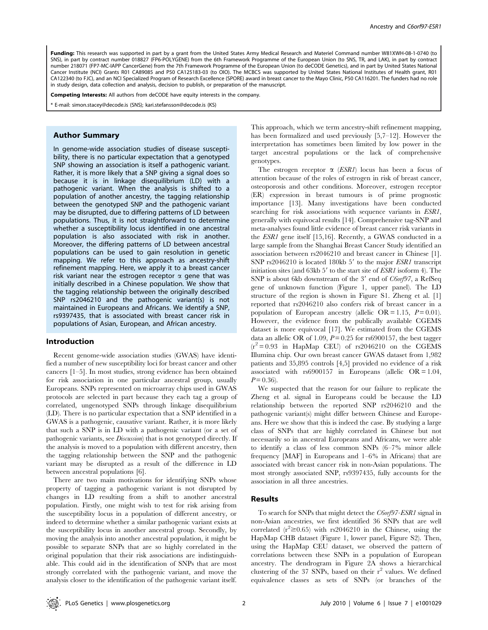Funding: This research was supported in part by a grant from the United States Army Medical Research and Materiel Command number W81XWH-08-1-0740 (to SNS), in part by contract number 018827 (FP6-POLYGENE) from the 6th Framework Programme of the European Union (to SNS, TR, and LAK), in part by contract number 218071 (FP7-MC-IAPP CancerGene) from the 7th Framework Programme of the European Union (to deCODE Genetics), and in part by United States National Cancer Institute (NCI) Grants R01 CA89085 and P50 CA125183-03 (to OIO). The MCBCS was supported by United States National Institutes of Health grant, R01 CA122340 (to FJC), and an NCI Specialized Program of Research Excellence (SPORE) award in breast cancer to the Mayo Clinic, P50 CA116201. The funders had no role in study design, data collection and analysis, decision to publish, or preparation of the manuscript.

Competing Interests: All authors from deCODE have equity interests in the company.

E-mail: simon.stacey@decode.is (SNS); kari.stefansson@decode.is (KS)

## Author Summary

In genome-wide association studies of disease susceptibility, there is no particular expectation that a genotyped SNP showing an association is itself a pathogenic variant. Rather, it is more likely that a SNP giving a signal does so because it is in linkage disequilibrium (LD) with a pathogenic variant. When the analysis is shifted to a population of another ancestry, the tagging relationship between the genotyped SNP and the pathogenic variant may be disrupted, due to differing patterns of LD between populations. Thus, it is not straightforward to determine whether a susceptibility locus identified in one ancestral population is also associated with risk in another. Moreover, the differing patterns of LD between ancestral populations can be used to gain resolution in genetic mapping. We refer to this approach as ancestry-shift refinement mapping. Here, we apply it to a breast cancer risk variant near the estrogen receptor  $\alpha$  gene that was initially described in a Chinese population. We show that the tagging relationship between the originally described SNP rs2046210 and the pathogenic variant(s) is not maintained in Europeans and Africans. We identify a SNP, rs9397435, that is associated with breast cancer risk in populations of Asian, European, and African ancestry.

## Introduction

Recent genome-wide association studies (GWAS) have identified a number of new susceptibility loci for breast cancer and other cancers [1–5]. In most studies, strong evidence has been obtained for risk association in one particular ancestral group, usually Europeans. SNPs represented on microarray chips used in GWAS protocols are selected in part because they each tag a group of correlated, ungenotyped SNPs through linkage disequilibrium (LD). There is no particular expectation that a SNP identified in a GWAS is a pathogenic, causative variant. Rather, it is more likely that such a SNP is in LD with a pathogenic variant (or a set of pathogenic variants, see Discussion) that is not genotyped directly. If the analysis is moved to a population with different ancestry, then the tagging relationship between the SNP and the pathogenic variant may be disrupted as a result of the difference in LD between ancestral populations [6].

There are two main motivations for identifying SNPs whose property of tagging a pathogenic variant is not disrupted by changes in LD resulting from a shift to another ancestral population. Firstly, one might wish to test for risk arising from the susceptibility locus in a population of different ancestry, or indeed to determine whether a similar pathogenic variant exists at the susceptibility locus in another ancestral group. Secondly, by moving the analysis into another ancestral population, it might be possible to separate SNPs that are so highly correlated in the original population that their risk associations are indistinguishable. This could aid in the identification of SNPs that are most strongly correlated with the pathogenic variant, and move the analysis closer to the identification of the pathogenic variant itself. This approach, which we term ancestry-shift refinement mapping, has been formalized and used previously [5,7–12]. However the interpretation has sometimes been limited by low power in the target ancestral populations or the lack of comprehensive genotypes.

The estrogen receptor  $\alpha$  (*ESR1*) locus has been a focus of attention because of the roles of estrogen in risk of breast cancer, osteoporosis and other conditions. Moreover, estrogen receptor (ER) expression in breast tumours is of prime prognostic importance [13]. Many investigations have been conducted searching for risk associations with sequence variants in ESR1, generally with equivocal results [14]. Comprehensive tag-SNP and meta-analyses found little evidence of breast cancer risk variants in the ESR1 gene itself [15,16]. Recently, a GWAS conducted in a large sample from the Shanghai Breast Cancer Study identified an association between rs2046210 and breast cancer in Chinese [1]. SNP  $rs2046210$  is located 180kb 5' to the major  $ESR1$  transcript initiation sites (and  $63kb\ 5'$  to the start site of *ESR1* isoform 4). The SNP is about 6kb downstream of the  $3'$  end of C6orf97, a RefSeq gene of unknown function (Figure 1, upper panel). The LD structure of the region is shown in Figure S1. Zheng et al. [1] reported that rs2046210 also confers risk of breast cancer in a population of European ancestry (allelic OR = 1.15,  $P = 0.01$ ). However, the evidence from the publically available CGEMS dataset is more equivocal [17]. We estimated from the CGEMS data an allelic OR of 1.09,  $P = 0.25$  for rs6900157, the best tagger  $(r^2 = 0.93$  in HapMap CEU) of rs2046210 on the CGEMS Illumina chip. Our own breast cancer GWAS dataset from 1,982 patients and 35,895 controls [4,5] provided no evidence of a risk associated with  $rs6900157$  in Europeans (allelic OR = 1.04,  $P = 0.36$ ).

We suspected that the reason for our failure to replicate the Zheng et al. signal in Europeans could be because the LD relationship between the reported SNP rs2046210 and the pathogenic variant(s) might differ between Chinese and Europeans. Here we show that this is indeed the case. By studying a large class of SNPs that are highly correlated in Chinese but not necessarily so in ancestral Europeans and Africans, we were able to identify a class of less common SNPs (6–7% minor allele frequency [MAF] in Europeans and 1–6% in Africans) that are associated with breast cancer risk in non-Asian populations. The most strongly associated SNP, rs9397435, fully accounts for the association in all three ancestries.

#### Results

To search for SNPs that might detect the C6orf97-ESR1 signal in non-Asian ancestries, we first identified 36 SNPs that are well correlated  $(r^2 \ge 0.65)$  with rs2046210 in the Chinese, using the HapMap CHB dataset (Figure 1, lower panel, Figure S2). Then, using the HapMap CEU dataset, we observed the pattern of correlations between these SNPs in a population of European ancestry. The dendrogram in Figure 2A shows a hierarchical clustering of the 37 SNPs, based on their  $r^2$  values. We defined equivalence classes as sets of SNPs (or branches of the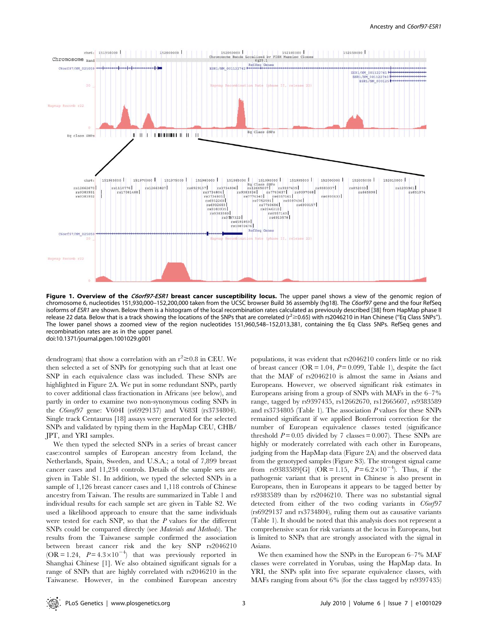

Figure 1. Overview of the C6orf97-ESR1 breast cancer susceptibility locus. The upper panel shows a view of the genomic region of chromosome 6, nucleotides 151,930,000–152,200,000 taken from the UCSC browser Build 36 assembly (hg18). The C6orf97 gene and the four RefSeq isoforms of ESR1 are shown. Below them is a histogram of the local recombination rates calculated as previously described [38] from HapMap phase II release 22 data. Below that is a track showing the locations of the SNPs that are correlated ( $r^2 \ge 0.65$ ) with rs2046210 in Han Chinese ("Eq Class SNPs"). The lower panel shows a zoomed view of the region nucleotides 151,960,548–152,013,381, containing the Eq Class SNPs. RefSeq genes and recombination rates are as in the upper panel. doi:10.1371/journal.pgen.1001029.g001

dendrogram) that show a correlation with an  $r^2 \ge 0.8$  in CEU. We then selected a set of SNPs for genotyping such that at least one SNP in each equivalence class was included. These SNPs are highlighted in Figure 2A. We put in some redundant SNPs, partly to cover additional class fractionation in Africans (see below), and partly in order to examine two non-synonymous coding SNPs in the C6orof97 gene: V604I (rs6929137) and V683I (rs3734804). Single track Centaurus [18] assays were generated for the selected SNPs and validated by typing them in the HapMap CEU, CHB/ JPT, and YRI samples.

We then typed the selected SNPs in a series of breast cancer case:control samples of European ancestry from Iceland, the Netherlands, Spain, Sweden, and U.S.A.; a total of 7,899 breast cancer cases and 11,234 controls. Details of the sample sets are given in Table S1. In addition, we typed the selected SNPs in a sample of 1,126 breast cancer cases and 1,118 controls of Chinese ancestry from Taiwan. The results are summarized in Table 1 and individual results for each sample set are given in Table S2. We used a likelihood approach to ensure that the same individuals were tested for each SNP, so that the  $P$  values for the different SNPs could be compared directly (see Materials and Methods). The results from the Taiwanese sample confirmed the association between breast cancer risk and the key SNP rs2046210  $(OR = 1.24, P = 4.3 \times 10^{-4})$  that was previously reported in Shanghai Chinese [1]. We also obtained significant signals for a range of SNPs that are highly correlated with rs2046210 in the Taiwanese. However, in the combined European ancestry populations, it was evident that rs2046210 confers little or no risk of breast cancer (OR = 1.04,  $P = 0.099$ , Table 1), despite the fact that the MAF of rs2046210 is almost the same in Asians and Europeans. However, we observed significant risk estimates in Europeans arising from a group of SNPs with MAFs in the 6–7% range, tagged by rs9397435, rs12662670, rs12665607, rs9383589 and rs3734805 (Table 1). The association P values for these SNPs remained significant if we applied Bonferroni correction for the number of European equivalence classes tested (significance threshold  $P = 0.05$  divided by 7 classes = 0.007). These SNPs are highly or moderately correlated with each other in Europeans, judging from the HapMap data (Figure 2A) and the observed data from the genotyped samples (Figure S3). The strongest signal came from rs9383589[G] (OR = 1.15,  $P = 6.2 \times 10^{-4}$ ). Thus, if the pathogenic variant that is present in Chinese is also present in Europeans, then in Europeans it appears to be tagged better by rs9383589 than by rs2046210. There was no substantial signal detected from either of the two coding variants in C6orf97 (rs6929137 and rs3734804), ruling them out as causative variants (Table 1). It should be noted that this analysis does not represent a comprehensive scan for risk variants at the locus in Europeans, but is limited to SNPs that are strongly associated with the signal in Asians.

We then examined how the SNPs in the European 6–7% MAF classes were correlated in Yorubas, using the HapMap data. In YRI, the SNPs split into five separate equivalence classes, with MAFs ranging from about 6% (for the class tagged by rs9397435)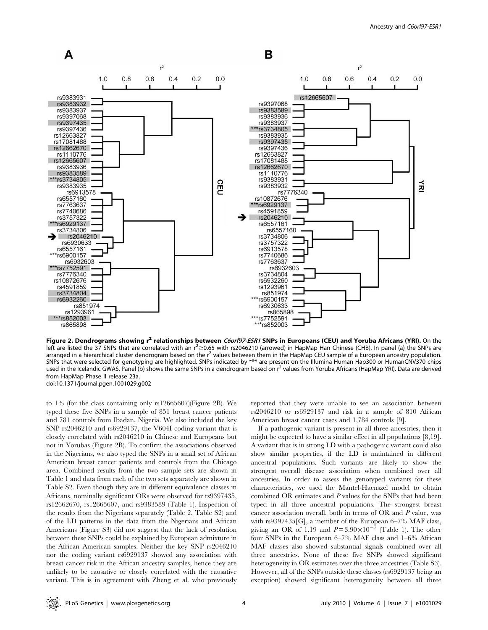

Figure 2. Dendrograms showing r<sup>2</sup> relationships between C6orf97-ESR1 SNPs in Europeans (CEU) and Yoruba Africans (YRI). On the left are listed the 37 SNPs that are correlated with an  $r^2$   $\geq$  0.65 with rs2046210 (arrowed) in HapMap Han Chinese (CHB). In panel (a) the SNPs are arranged in a hierarchical cluster dendrogram based on the  $r^2$  values between them in the HapMap CEU sample of a European ancestry population. SNPs that were selected for genotyping are highlighted. SNPs indicated by \*\*\* are present on the Illumina Human Hap300 or HumanCNV370 chips used in the Icelandic GWAS. Panel (b) shows the same SNPs in a dendrogram based on r<sup>2</sup> values from Yoruba Africans (HapMap YRI). Data are derived from HapMap Phase II release 23a. doi:10.1371/journal.pgen.1001029.g002

to 1% (for the class containing only rs12665607)(Figure 2B). We typed these five SNPs in a sample of 851 breast cancer patients and 781 controls from Ibadan, Nigeria. We also included the key SNP rs2046210 and rs6929137, the V604I coding variant that is closely correlated with rs2046210 in Chinese and Europeans but not in Yorubas (Figure 2B). To confirm the associations observed in the Nigerians, we also typed the SNPs in a small set of African American breast cancer patients and controls from the Chicago area. Combined results from the two sample sets are shown in Table 1 and data from each of the two sets separately are shown in Table S2. Even though they are in different equivalence classes in Africans, nominally significant ORs were observed for rs9397435, rs12662670, rs12665607, and rs9383589 (Table 1). Inspection of the results from the Nigerians separately (Table 2, Table S2) and of the LD patterns in the data from the Nigerians and African Americans (Figure S3) did not suggest that the lack of resolution between these SNPs could be explained by European admixture in the African American samples. Neither the key SNP rs2046210 nor the coding variant rs6929137 showed any association with breast cancer risk in the African ancestry samples, hence they are unlikely to be causative or closely correlated with the causative variant. This is in agreement with Zheng et al. who previously

reported that they were unable to see an association between rs2046210 or rs6929137 and risk in a sample of 810 African American breast cancer cases and 1,784 controls [9].

If a pathogenic variant is present in all three ancestries, then it might be expected to have a similar effect in all populations [8,19]. A variant that is in strong LD with a pathogenic variant could also show similar properties, if the LD is maintained in different ancestral populations. Such variants are likely to show the strongest overall disease association when combined over all ancestries. In order to assess the genotyped variants for these characteristics, we used the Mantel-Haenszel model to obtain combined OR estimates and P values for the SNPs that had been typed in all three ancestral populations. The strongest breast cancer association overall, both in terms of OR and P value, was with rs9397435[G], a member of the European 6–7% MAF class, giving an OR of 1.19 and  $P = 3.90 \times 10^{-7}$  (Table 1). The other four SNPs in the European 6–7% MAF class and 1–6% African MAF classes also showed substantial signals combined over all three ancestries. None of these five SNPs showed significant heterogeneity in OR estimates over the three ancestries (Table S3). However, all of the SNPs outside these classes (rs6929137 being an exception) showed significant heterogeneity between all three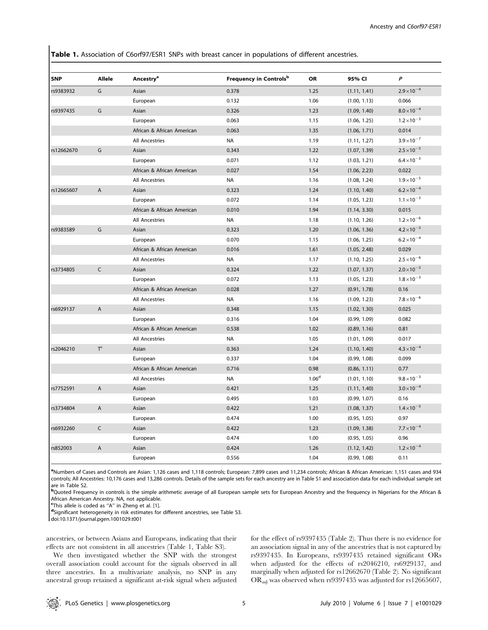Table 1. Association of C6orf97/ESR1 SNPs with breast cancer in populations of different ancestries.

| SNP        | <b>Allele</b>  | Ancestry <sup>a</sup>      | Frequency in Controls <sup>b</sup> | <b>OR</b>         | 95% CI       | P                    |
|------------|----------------|----------------------------|------------------------------------|-------------------|--------------|----------------------|
| rs9383932  | G              | Asian                      | 0.378                              | 1.25              | (1.11, 1.41) | $2.9 \times 10^{-4}$ |
|            |                | European                   | 0.132                              | 1.06              | (1.00, 1.13) | 0.066                |
| rs9397435  | G              | Asian                      | 0.326                              | 1.23              | (1.09, 1.40) | $8.0\times10^{-4}$   |
|            |                | European                   | 0.063                              | 1.15              | (1.06, 1.25) | $1.2 \times 10^{-3}$ |
|            |                | African & African American | 0.063                              | 1.35              | (1.06, 1.71) | 0.014                |
|            |                | <b>All Ancestries</b>      | <b>NA</b>                          | 1.19              | (1.11, 1.27) | $3.9 \times 10^{-7}$ |
| rs12662670 | G              | Asian                      | 0.343                              | 1.22              | (1.07, 1.39) | $2.5 \times 10^{-3}$ |
|            |                | European                   | 0.071                              | 1.12              | (1.03, 1.21) | $6.4\times10^{-3}$   |
|            |                | African & African American | 0.027                              | 1.54              | (1.06, 2.23) | 0.022                |
|            |                | <b>All Ancestries</b>      | <b>NA</b>                          | 1.16              | (1.08, 1.24) | $1.9\times10^{-5}$   |
| rs12665607 | $\overline{A}$ | Asian                      | 0.323                              | 1.24              | (1.10, 1.40) | $6.2 \times 10^{-4}$ |
|            |                | European                   | 0.072                              | 1.14              | (1.05, 1.23) | $1.1 \times 10^{-3}$ |
|            |                | African & African American | 0.010                              | 1.94              | (1.14, 3.30) | 0.015                |
|            |                | <b>All Ancestries</b>      | <b>NA</b>                          | 1.18              | (1.10, 1.26) | $1.2 \times 10^{-6}$ |
| rs9383589  | G              | Asian                      | 0.323                              | 1.20              | (1.06, 1.36) | $4.2 \times 10^{-3}$ |
|            |                | European                   | 0.070                              | 1.15              | (1.06, 1.25) | $6.2 \times 10^{-4}$ |
|            |                | African & African American | 0.016                              | 1.61              | (1.05, 2.48) | 0.029                |
|            |                | <b>All Ancestries</b>      | <b>NA</b>                          | 1.17              | (1.10, 1.25) | $2.5 \times 10^{-6}$ |
| rs3734805  | $\mathsf{C}$   | Asian                      | 0.324                              | 1.22              | (1.07, 1.37) | $2.0 \times 10^{-3}$ |
|            |                | European                   | 0.072                              | 1.13              | (1.05, 1.23) | $1.8 \times 10^{-3}$ |
|            |                | African & African American | 0.028                              | 1.27              | (0.91, 1.78) | 0.16                 |
|            |                | <b>All Ancestries</b>      | <b>NA</b>                          | 1.16              | (1.09, 1.23) | $7.8 \times 10^{-6}$ |
| rs6929137  | $\overline{A}$ | Asian                      | 0.348                              | 1.15              | (1.02, 1.30) | 0.025                |
|            |                | European                   | 0.316                              | 1.04              | (0.99, 1.09) | 0.082                |
|            |                | African & African American | 0.538                              | 1.02              | (0.89, 1.16) | 0.81                 |
|            |                | <b>All Ancestries</b>      | <b>NA</b>                          | 1.05              | (1.01, 1.09) | 0.017                |
| rs2046210  | T <sup>c</sup> | Asian                      | 0.363                              | 1.24              | (1.10, 1.40) | $4.3 \times 10^{-4}$ |
|            |                | European                   | 0.337                              | 1.04              | (0.99, 1.08) | 0.099                |
|            |                | African & African American | 0.716                              | 0.98              | (0.86, 1.11) | 0.77                 |
|            |                | <b>All Ancestries</b>      | <b>NA</b>                          | 1.06 <sup>d</sup> | (1.01, 1.10) | $9.8 \times 10^{-3}$ |
| rs7752591  | $\overline{A}$ | Asian                      | 0.421                              | 1.25              | (1.11, 1.40) | $3.0 \times 10^{-4}$ |
|            |                | European                   | 0.495                              | 1.03              | (0.99, 1.07) | 0.16                 |
| rs3734804  | A              | Asian                      | 0.422                              | 1.21              | (1.08, 1.37) | $1.4 \times 10^{-3}$ |
|            |                | European                   | 0.474                              | 1.00              | (0.95, 1.05) | 0.97                 |
| rs6932260  | $\mathsf{C}$   | Asian                      | 0.422                              | 1.23              | (1.09, 1.38) | $7.7 \times 10^{-4}$ |
|            |                | European                   | 0.474                              | 1.00              | (0.95, 1.05) | 0.96                 |
| rs852003   | A              | Asian                      | 0.424                              | 1.26              | (1.12, 1.42) | $1.2 \times 10^{-4}$ |
|            |                | European                   | 0.556                              | 1.04              | (0.99, 1.08) | 0.11                 |

a Numbers of Cases and Controls are Asian: 1,126 cases and 1,118 controls; European: 7,899 cases and 11,234 controls; African & African American: 1,151 cases and 934 controls; All Ancestries: 10,176 cases and 13,286 controls. Details of the sample sets for each ancestry are in Table S1 and association data for each individual sample set are in Table S2.

**b**Quoted Frequency in controls is the simple arithmetic average of all European sample sets for European Ancestry and the frequency in Nigerians for the African & African American Ancestry. NA, not applicable.

c This allele is coded as ''A'' in Zheng et al. [1].

d Significant heterogeneity in risk estimates for different ancestries, see Table S3.

doi:10.1371/journal.pgen.1001029.t001

ancestries, or between Asians and Europeans, indicating that their effects are not consistent in all ancestries (Table 1, Table S3).

We then investigated whether the SNP with the strongest overall association could account for the signals observed in all three ancestries. In a multivariate analysis, no SNP in any ancestral group retained a significant at-risk signal when adjusted for the effect of rs9397435 (Table 2). Thus there is no evidence for an association signal in any of the ancestries that is not captured by rs9397435. In Europeans, rs9397435 retained significant ORs when adjusted for the effects of rs2046210, rs6929137, and marginally when adjusted for rs12662670 (Table 2). No significant OR<sub>adj</sub> was observed when rs9397435 was adjusted for rs12665607,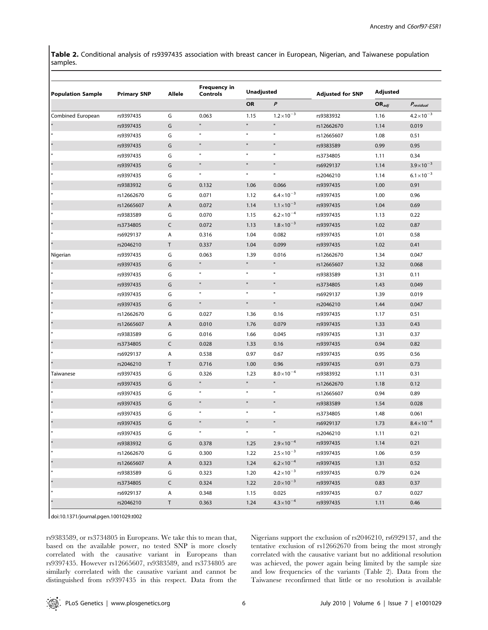Table 2. Conditional analysis of rs9397435 association with breast cancer in European, Nigerian, and Taiwanese population samples.

| <b>Population Sample</b> | <b>Primary SNP</b> | Allele       | <b>Frequency in</b><br><b>Controls</b> | <b>Unadjusted</b> |                      | <b>Adjusted for SNP</b> | <b>Adjusted</b> |                      |
|--------------------------|--------------------|--------------|----------------------------------------|-------------------|----------------------|-------------------------|-----------------|----------------------|
|                          |                    |              |                                        | OR                | $\boldsymbol{P}$     |                         | $OR_{adj}$      | $P_{residual}$       |
| Combined European        | rs9397435          | G            | 0.063                                  | 1.15              | $1.2 \times 10^{-3}$ | rs9383932               | 1.16            | $4.2 \times 10^{-3}$ |
|                          | rs9397435          | G            | $\mathbf{u}$                           | $\mathbf{u}$      | $\mathbf{u}$         | rs12662670              | 1.14            | 0.019                |
|                          | rs9397435          | G            | $\mathbf{u}$                           | $\mathbf{u}$      | $\mathbf u$          | rs12665607              | 1.08            | 0.51                 |
|                          | rs9397435          | G            | $\mathbf u$                            | $\mathbf u$       | $\mathbf{u}$         | rs9383589               | 0.99            | 0.95                 |
|                          | rs9397435          | G            | $\mathbf u$                            | $\mathbf u$       | $\mathbf u$          | rs3734805               | 1.11            | 0.34                 |
|                          | rs9397435          | G            | $\mathbf{H}$                           | $\mathbf u$       | $\mathfrak n$        | rs6929137               | 1.14            | $3.9 \times 10^{-3}$ |
| $\mathbf{u}$             | rs9397435          | G            | $\mathbf u$                            | $\mathbf u$       | $\mathfrak n$        | rs2046210               | 1.14            | $6.1 \times 10^{-3}$ |
|                          | rs9383932          | G            | 0.132                                  | 1.06              | 0.066                | rs9397435               | 1.00            | 0.91                 |
| $\mathbf{u}$             | rs12662670         | G            | 0.071                                  | 1.12              | $6.4\times10^{-3}$   | rs9397435               | 1.00            | 0.96                 |
|                          | rs12665607         | A            | 0.072                                  | 1.14              | $1.1 \times 10^{-3}$ | rs9397435               | 1.04            | 0.69                 |
|                          | rs9383589          | G            | 0.070                                  | 1.15              | $6.2 \times 10^{-4}$ | rs9397435               | 1.13            | 0.22                 |
|                          | rs3734805          | C            | 0.072                                  | 1.13              | $1.8 \times 10^{-3}$ | rs9397435               | 1.02            | 0.87                 |
|                          | rs6929137          | Α            | 0.316                                  | 1.04              | 0.082                | rs9397435               | 1.01            | 0.58                 |
|                          | rs2046210          | T.           | 0.337                                  | 1.04              | 0.099                | rs9397435               | 1.02            | 0.41                 |
| Nigerian                 | rs9397435          | G            | 0.063                                  | 1.39              | 0.016                | rs12662670              | 1.34            | 0.047                |
|                          | rs9397435          | G            | $\mathbf{u}$                           | $\mathbf{u}$      | $\mathbf{u}$         | rs12665607              | 1.32            | 0.068                |
|                          | rs9397435          | G            | $\mathbf u$                            | п                 | $\mathbf{u}$         | rs9383589               | 1.31            | 0.11                 |
|                          | rs9397435          | G            | $\mathbf u$                            | $\mathbf u$       | $\mathbf{u}$         | rs3734805               | 1.43            | 0.049                |
| $\mathbf{u}$             | rs9397435          | G            | $\mathbf{u}$                           | $\mathbf u$       | $\mathbf{u}$         | rs6929137               | 1.39            | 0.019                |
|                          | rs9397435          | G            | $\mathbf{H}$                           | $\mathfrak n$     | $\mathbf{u}$         | rs2046210               | 1.44            | 0.047                |
| $\mathbf{u}$             | rs12662670         | G            | 0.027                                  | 1.36              | 0.16                 | rs9397435               | 1.17            | 0.51                 |
| $\blacksquare$           | rs12665607         | A            | 0.010                                  | 1.76              | 0.079                | rs9397435               | 1.33            | 0.43                 |
| $\mathbf u$              | rs9383589          | G            | 0.016                                  | 1.66              | 0.045                | rs9397435               | 1.31            | 0.37                 |
| $\blacksquare$           | rs3734805          | $\mathsf{C}$ | 0.028                                  | 1.33              | 0.16                 | rs9397435               | 0.94            | 0.82                 |
| Ħ                        | rs6929137          | Α            | 0.538                                  | 0.97              | 0.67                 | rs9397435               | 0.95            | 0.56                 |
|                          | rs2046210          | T            | 0.716                                  | 1.00              | 0.96                 | rs9397435               | 0.91            | 0.73                 |
| Taiwanese                | rs9397435          | G            | 0.326                                  | 1.23              | $8.0 \times 10^{-4}$ | rs9383932               | 1.11            | 0.31                 |
|                          | rs9397435          | G            | $\mathbf u$                            | $\mathbf{u}$      | $\mathbf u$          | rs12662670              | 1.18            | 0.12                 |
|                          | rs9397435          | G            | $\mathbf{u}$                           | $\mathbf{u}$      | $\mathfrak n$        | rs12665607              | 0.94            | 0.89                 |
|                          | rs9397435          | G            | $\mathbf{H}$                           | $\mathbf{u}$      | $\mathbf{u}$         | rs9383589               | 1.54            | 0.028                |
| $\mathbf{u}$             | rs9397435          | G            | Ħ                                      | $\mathbf u$       | $\mathfrak n$        | rs3734805               | 1.48            | 0.061                |
|                          | rs9397435          | G            | $\mathbf{u}$                           | $\mathbf{u}$      | $\mathbf{H}$         | rs6929137               | 1.73            | $8.4 \times 10^{-4}$ |
| $\mathbf{u}$             | rs9397435          | G            | $\mathbf{u}$                           | $\mathfrak n$     | $\mathfrak n$        | rs2046210               | 1.11            | 0.21                 |
| $\blacksquare$           | rs9383932          | G            | 0.378                                  | 1.25              | $2.9 \times 10^{-4}$ | rs9397435               | 1.14            | 0.21                 |
| $\mathfrak n$            | rs12662670         | G            | 0.300                                  | 1.22              | $2.5 \times 10^{-3}$ | rs9397435               | 1.06            | 0.59                 |
| $\blacksquare$           | rs12665607         | A            | 0.323                                  | 1.24              | $6.2 \times 10^{-4}$ | rs9397435               | 1.31            | 0.52                 |
| $\mathbf u$              | rs9383589          | G            | 0.323                                  | 1.20              | $4.2 \times 10^{-3}$ | rs9397435               | 0.79            | 0.24                 |
| $\blacksquare$           | rs3734805          | C            | 0.324                                  | 1.22              | $2.0\times10^{-3}$   | rs9397435               | 0.83            | 0.37                 |
| $\mathbf{u}$             | rs6929137          | Α            | 0.348                                  | 1.15              | 0.025                | rs9397435               | 0.7             | 0.027                |
|                          | rs2046210          | T            | 0.363                                  | 1.24              | $4.3 \times 10^{-4}$ | rs9397435               | 1.11            | 0.46                 |

doi:10.1371/journal.pgen.1001029.t002

rs9383589, or rs3734805 in Europeans. We take this to mean that, based on the available power, no tested SNP is more closely correlated with the causative variant in Europeans than rs9397435. However rs12665607, rs9383589, and rs3734805 are similarly correlated with the causative variant and cannot be distinguished from rs9397435 in this respect. Data from the Nigerians support the exclusion of rs2046210, rs6929137, and the tentative exclusion of rs12662670 from being the most strongly correlated with the causative variant but no additional resolution was achieved, the power again being limited by the sample size and low frequencies of the variants (Table 2). Data from the Taiwanese reconfirmed that little or no resolution is available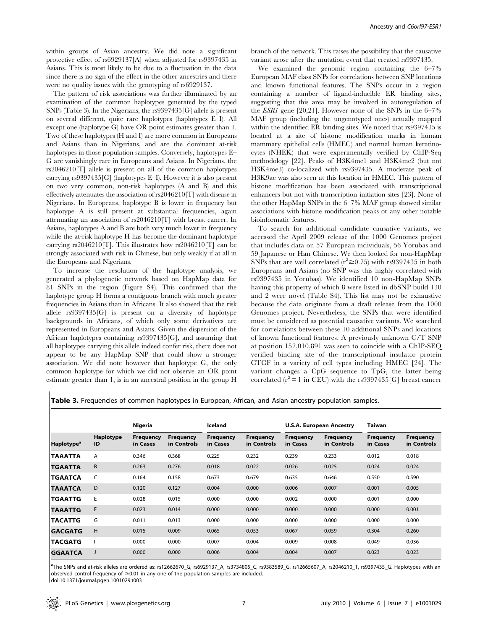within groups of Asian ancestry. We did note a significant protective effect of rs6929137[A] when adjusted for rs9397435 in Asians. This is most likely to be due to a fluctuation in the data since there is no sign of the effect in the other ancestries and there were no quality issues with the genotyping of rs6929137.

The pattern of risk associations was further illuminated by an examination of the common haplotypes generated by the typed SNPs (Table 3). In the Nigerians, the rs9397435[G] allele is present on several different, quite rare haplotypes (haplotypes E–I). All except one (haplotype G) have OR point estimates greater than 1. Two of these haplotypes (H and I) are more common in Europeans and Asians than in Nigerians, and are the dominant at-risk haplotypes in those population samples. Conversely, haplotypes E– G are vanishingly rare in Europeans and Asians. In Nigerians, the rs2046210[T] allele is present on all of the common haplotypes carrying rs9397435[G] (haplotypes E–I). However it is also present on two very common, non-risk haplotypes (A and B) and this effectively attenuates the association of rs2046210[T] with disease in Nigerians. In Europeans, haplotype B is lower in frequency but haplotype A is still present at substantial frequencies, again attenuating an association of rs2046210[T] with breast cancer. In Asians, haplotypes A and B are both very much lower in frequency while the at-risk haplotype H has become the dominant haplotype carrying rs2046210[T]. This illustrates how rs2046210[T] can be strongly associated with risk in Chinese, but only weakly if at all in the Europeans and Nigerians.

To increase the resolution of the haplotype analysis, we generated a phylogenetic network based on HapMap data for 81 SNPs in the region (Figure S4). This confirmed that the haplotype group H forms a contiguous branch with much greater frequencies in Asians than in Africans. It also showed that the risk allele rs9397435[G] is present on a diversity of haplotype backgrounds in Africans, of which only some derivatives are represented in Europeans and Asians. Given the dispersion of the African haplotypes containing rs9397435[G], and assuming that all haplotypes carrying this allele indeed confer risk, there does not appear to be any HapMap SNP that could show a stronger association. We did note however that haplotype G, the only common haplotype for which we did not observe an OR point estimate greater than 1, is in an ancestral position in the group H

branch of the network. This raises the possibility that the causative variant arose after the mutation event that created rs9397435.

We examined the genomic region containing the 6–7% European MAF class SNPs for correlations between SNP locations and known functional features. The SNPs occur in a region containing a number of ligand-inducible ER binding sites, suggesting that this area may be involved in autoregulation of the *ESR1* gene [20,21]. However none of the SNPs in the  $6-7\%$ MAF group (including the ungenotyped ones) actually mapped within the identified ER binding sites. We noted that rs9397435 is located at a site of histone modification marks in human mammary epithelial cells (HMEC) and normal human keratinocytes (NHEK) that were experimentally verified by ChIP-Seq methodology [22]. Peaks of H3K4me1 and H3K4me2 (but not H3K4me3) co-localized with rs9397435. A moderate peak of H3K9ac was also seen at this location in HMEC. This pattern of histone modification has been associated with transcriptional enhancers but not with transcription initiation sites [23]. None of the other HapMap SNPs in the 6–7% MAF group showed similar associations with histone modification peaks or any other notable bioinformatic features.

To search for additional candidate causative variants, we accessed the April 2009 release of the 1000 Genomes project that includes data on 57 European individuals, 56 Yorubas and 59 Japanese or Han Chinese. We then looked for non-HapMap SNPs that are well correlated ( $r^2 \ge 0.75$ ) with rs9397435 in both Europeans and Asians (no SNP was this highly correlated with rs9397435 in Yorubas). We identified 10 non-HapMap SNPs having this property of which 8 were listed in dbSNP build 130 and 2 were novel (Table S4). This list may not be exhaustive because the data originate from a draft release from the 1000 Genomes project. Nevertheless, the SNPs that were identified must be considered as potential causative variants. We searched for correlations between these 10 additional SNPs and locations of known functional features. A previously unknown C/T SNP at position 152,010,891 was seen to coincide with a ChIP-SEQ verified binding site of the transcriptional insulator protein CTCF in a variety of cell types including HMEC [24]. The variant changes a CpG sequence to TpG, the latter being correlated ( $r^2$  = 1 in CEU) with the rs9397435[G] breast cancer

Table 3. Frequencies of common haplotypes in European, African, and Asian ancestry population samples.

|                        | Haplotype<br>ID | <b>Nigeria</b>               |                                 | Iceland                      |                                 | <b>U.S.A. European Ancestry</b> |                                 | <b>Taiwan</b>                |                                 |
|------------------------|-----------------|------------------------------|---------------------------------|------------------------------|---------------------------------|---------------------------------|---------------------------------|------------------------------|---------------------------------|
| Haplotype <sup>a</sup> |                 | <b>Frequency</b><br>in Cases | <b>Frequency</b><br>in Controls | <b>Frequency</b><br>in Cases | <b>Frequency</b><br>in Controls | <b>Frequency</b><br>in Cases    | <b>Frequency</b><br>in Controls | <b>Frequency</b><br>in Cases | <b>Frequency</b><br>in Controls |
| <b>TAAATTA</b>         | Α               | 0.346                        | 0.368                           | 0.225                        | 0.232                           | 0.239                           | 0.233                           | 0.012                        | 0.018                           |
| <b>TGAATTA</b>         | B               | 0.263                        | 0.276                           | 0.018                        | 0.022                           | 0.026                           | 0.025                           | 0.024                        | 0.024                           |
| <b>TGAATCA</b>         | C               | 0.164                        | 0.158                           | 0.673                        | 0.679                           | 0.635                           | 0.646                           | 0.550                        | 0.590                           |
| <b>TAAATCA</b>         | D               | 0.120                        | 0.127                           | 0.004                        | 0.000                           | 0.006                           | 0.007                           | 0.001                        | 0.005                           |
| <b>TGAATTG</b>         | E               | 0.028                        | 0.015                           | 0.000                        | 0.000                           | 0.002                           | 0.000                           | 0.001                        | 0.000                           |
| <b>TAAATTG</b>         | F               | 0.023                        | 0.014                           | 0.000                        | 0.000                           | 0.000                           | 0.000                           | 0.000                        | 0.001                           |
| <b>TACATTG</b>         | G               | 0.011                        | 0.013                           | 0.000                        | 0.000                           | 0.000                           | 0.000                           | 0.000                        | 0.000                           |
| <b>GACGATG</b>         | H               | 0.015                        | 0.009                           | 0.065                        | 0.053                           | 0.067                           | 0.059                           | 0.304                        | 0.260                           |
| <b>TACGATG</b>         |                 | 0.000                        | 0.000                           | 0.007                        | 0.004                           | 0.009                           | 0.008                           | 0.049                        | 0.036                           |
| <b>GGAATCA</b>         |                 | 0.000                        | 0.000                           | 0.006                        | 0.004                           | 0.004                           | 0.007                           | 0.023                        | 0.023                           |

a The SNPs and at-risk alleles are ordered as: rs12662670\_G, rs6929137\_A, rs3734805\_C, rs9383589\_G, rs12665607\_A, rs2046210\_T, rs9397435\_G. Haplotypes with an observed control frequency of  $\geq$  0.01 in any one of the population samples are included.

doi:10.1371/journal.pgen.1001029.t003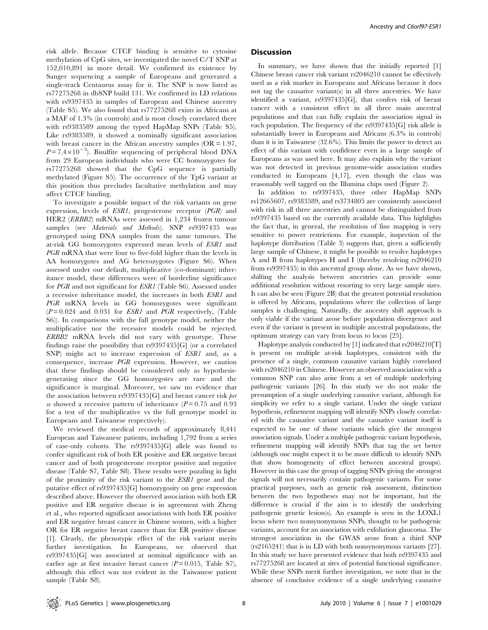risk allele. Because CTCF binding is sensitive to cytosine methylation of CpG sites, we investigated the novel C/T SNP at 152,010,891 in more detail. We confirmed its existence by Sanger sequencing a sample of Europeans and generated a single-track Centaurus assay for it. The SNP is now listed as rs77275268 in dbSNP build 131. We confirmed its LD relations with rs9397435 in samples of European and Chinese ancestry (Table S5). We also found that rs77275268 exists in Africans at a MAF of 1.3% (in controls) and is most closely correlated there with rs9383589 among the typed HapMap SNPs (Table S5). Like rs9383589, it showed a nominally significant association with breast cancer in the African ancestry samples  $(OR = 1.97, ...)$  $P = 7.4 \times 10^{-3}$ ). Bisulfite sequencing of peripheral blood DNA from 29 European individuals who were CC homozygotes for rs77275268 showed that the CpG sequence is partially methylated (Figure S5). The occurrence of the TpG variant at this position thus precludes facultative methylation and may affect CTCF binding.

To investigate a possible impact of the risk variants on gene expression, levels of ESR1, progesterone receptor (PGR) and HER2 (ERBB2) mRNAs were assessed in 1,234 frozen tumour samples (see *Materials and Methods*). SNP rs9397435 was genotyped using DNA samples from the same tumours. The at-risk GG homozygotes expressed mean levels of ESR1 and PGR mRNA that were four to five-fold higher than the levels in AA homozygotes and AG heterozygotes (Figure S6). When assessed under our default, multiplicative (co-dominant) inheritance model, these differences were of borderline significance for PGR and not significant for ESR1 (Table S6). Assessed under a recessive inheritance model, the increases in both ESR1 and PGR mRNA levels in GG homozygotes were significant  $(P=0.024$  and 0.031 for *ESR1* and *PGR* respectively, (Table S6)). In comparisons with the full genotype model, neither the multiplicative nor the recessive models could be rejected. ERBB2 mRNA levels did not vary with genotype. These findings raise the possibility that rs9397435[G] (or a correlated SNP) might act to increase expression of ESR1 and, as a consequence, increase PGR expression. However, we caution that these findings should be considered only as hypothesisgenerating since the GG homozygotes are rare and the significance is marginal. Moreover, we saw no evidence that the association between rs9397435[G] and breast cancer risk per se showed a recessive pattern of inheritance ( $P = 0.75$  and 0.93 for a test of the multiplicative vs the full genotype model in Europeans and Taiwanese respectively).

We reviewed the medical records of approximately 8,441 European and Taiwanese patients, including 1,792 from a series of case-only cohorts. The rs9397435[G] allele was found to confer significant risk of both ER positive and ER negative breast cancer and of both progesterone receptor positive and negative disease (Table S7, Table S8). These results were puzzling in light of the proximity of the risk variant to the ESR1 gene and the putative effect of rs9397435[G] homozygosity on gene expression described above. However the observed association with both ER positive and ER negative disease is in agreement with Zheng et al., who reported significant associations with both ER positive and ER negative breast cancer in Chinese women, with a higher OR for ER negative breast cancer than for ER positive disease [1]. Clearly, the phenotypic effect of the risk variant merits further investigation. In Europeans, we observed that rs9397435[G] was associated at nominal significance with an earlier age at first invasive breast cancer  $(P=0.015,$  Table S7), although this effect was not evident in the Taiwanese patient sample (Table S8).

## **Discussion**

In summary, we have shown that the initially reported [1] Chinese breast cancer risk variant rs2046210 cannot be effectively used as a risk marker in Europeans and Africans because it does not tag the causative variant(s) in all three ancestries. We have identified a variant, rs9397435[G], that confers risk of breast cancer with a consistent effect in all three main ancestral populations and that can fully explain the association signal in each population. The frequency of the rs9397435[G] risk allele is substantially lower in Europeans and Africans (6.3% in controls) than it is in Taiwanese (32.6%). This limits the power to detect an effect of this variant with confidence even in a large sample of Europeans as was used here. It may also explain why the variant was not detected in previous genome-wide association studies conducted in Europeans [4,17], even though the class was reasonably well tagged on the Illumina chips used (Figure 2).

In addition to rs9397435, three other HapMap SNPs rs12665607, rs9383589, and rs3734805 are consistently associated with risk in all three ancestries and cannot be distinguished from rs9397435 based on the currently available data. This highlights the fact that, in general, the resolution of fine mapping is very sensitive to power restrictions. For example, inspection of the haplotype distribution (Table 3) suggests that, given a sufficiently large sample of Chinese, it might be possible to resolve haplotypes A and B from haplotypes H and I (thereby resolving rs2046210 from rs9397435) in this ancestral group alone. As we have shown, shifting the analysis between ancestries can provide some additional resolution without resorting to very large sample sizes. It can also be seen (Figure 2B) that the greatest potential resolution is offered by Africans, populations where the collection of large samples is challenging. Naturally, the ancestry shift approach is only viable if the variant arose before population divergence and even if the variant is present in multiple ancestral populations, the optimum strategy can vary from locus to locus [25].

Haplotype analysis conducted by [1] indicated that rs2046210[T] is present on multiple at-risk haplotypes, consistent with the presence of a single, common causative variant highly correlated with rs2046210 in Chinese. However an observed association with a common SNP can also arise from a set of multiple underlying pathogenic variants [26]. In this study we do not make the presumption of a single underlying causative variant, although for simplicity we refer to a single variant. Under the single variant hypothesis, refinement mapping will identify SNPs closely correlated with the causative variant and the causative variant itself is expected to be one of those variants which give the strongest association signals. Under a multiple pathogenic variant hypothesis, refinement mapping will identify SNPs that tag the set better (although one might expect it to be more difficult to identify SNPs that show homogeneity of effect between ancestral groups). However in this case the group of tagging SNPs giving the strongest signals will not necessarily contain pathogenic variants. For some practical purposes, such as genetic risk assessment, distinction between the two hypotheses may not be important, but the difference is crucial if the aim is to identify the underlying pathogenic genetic lesion(s). An example is seen in the LOXL1 locus where two nonsynonymous SNPs, thought to be pathogenic variants, account for an association with exfoliation glaucoma. The strongest association in the GWAS arose from a third SNP (rs2165241) that is in LD with both nonsynonymous variants [27]. In this study we have presented evidence that both rs9397435 and rs77275268 are located at sites of potential functional significance. While these SNPs merit further investigation, we note that in the absence of conclusive evidence of a single underlying causative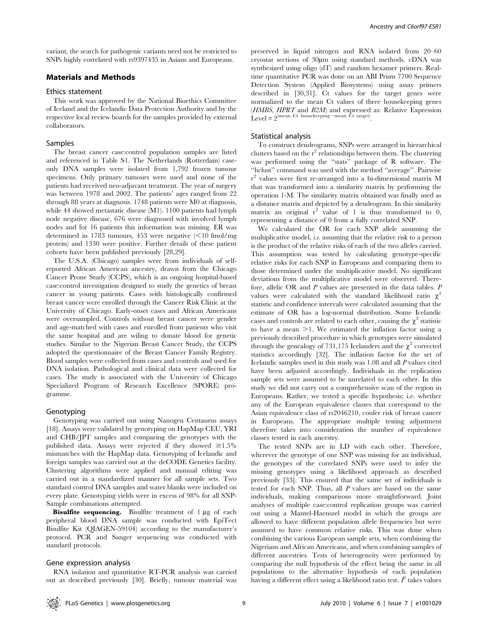variant, the search for pathogenic variants need not be restricted to SNPs highly correlated with rs9397435 in Asians and Europeans.

## Materials and Methods

#### Ethics statement

This work was approved by the National Bioethics Committee of Iceland and the Icelandic Data Protection Authority and by the respective local review boards for the samples provided by external collaborators.

## Samples

The breast cancer case:control population samples are listed and referenced in Table S1. The Netherlands (Rotterdam) caseonly DNA samples were isolated from 1,792 frozen tumour specimens. Only primary tumours were used and none of the patients had received neo-adjuvant treatment. The year of surgery was between 1978 and 2002. The patients' ages ranged from 22 through 88 years at diagnosis. 1748 patients were M0 at diagnosis, while 44 showed metastatic disease (M1). 1100 patients had lymph node negative disease, 676 were diagnosed with involved lymph nodes and for 16 patients this information was missing. ER was determined in 1783 tumours, 453 were negative  $\leq 10$  fmol/mg protein) and 1330 were positive. Further details of these patient cohorts have been published previously [28,29].

The U.S.A. (Chicago) samples were from individuals of selfreported African American ancestry, drawn from the Chicago Cancer Prone Study (CCPS), which is an ongoing hospital-based case:control investigation designed to study the genetics of breast cancer in young patients. Cases with histologically confirmed breast cancer were enrolled through the Cancer Risk Clinic at the University of Chicago. Early-onset cases and African Americans were oversampled. Controls without breast cancer were gender and age-matched with cases and enrolled from patients who visit the same hospital and are wiling to donate blood for genetic studies. Similar to the Nigerian Breast Cancer Study, the CCPS adopted the questionnaire of the Breast Cancer Family Registry. Blood samples were collected from cases and controls and used for DNA isolation. Pathological and clinical data were collected for cases. The study is associated with the University of Chicago Specialized Program of Research Excellence (SPORE) programme.

## Genotyping

Genotyping was carried out using Nanogen Centaurus assays [18]. Assays were validated by genotyping on HapMap CEU, YRI and CHB/JPT samples and comparing the genotypes with the published data. Assays were rejected if they showed  $\geq 1.5\%$ mismatches with the HapMap data. Genotyping of Icelandic and foreign samples was carried out at the deCODE Genetics facility. Clustering algorithms were applied and manual editing was carried out in a standardized manner for all sample sets. Two standard control DNA samples and water blanks were included on every plate. Genotyping yields were in excess of 98% for all SNP-Sample combinations attempted.

Bisulfite sequencing. Bisulfite treatment of 1 µg of each peripheral blood DNA sample was conducted with EpiTect Bisulfite Kit (QIAGEN-59104) according to the manufacturer's protocol. PCR and Sanger sequencing was conducted with standard protocols.

### Gene expression analysis

RNA isolation and quantitative RT-PCR analysis was carried out as described previously [30]. Briefly, tumour material was preserved in liquid nitrogen and RNA isolated from 20–60 cryostat sections of 30um using standard methods. cDNA was synthesized using oligo (dT) and random hexamer primers. Realtime quantitative PCR was done on an ABI Prism 7700 Sequence Detection System (Applied Biosystems) using assay primers described in [30,31]. Ct values for the target genes were normalized to the mean Ct values of three housekeeping genes (HMBS, HPRT and B2M) and expressed as: Relative Expression  $L_{\text{evel}} = 2^{(\text{mean Ct housekeeping-mean Ct target})}$ 

## Statistical analysis

To construct dendrograms, SNPs were arranged in hierarchical clusters based on the  $r^2$  relationships between them. The clustering was performed using the ''stats'' package of R software. The ''hclust'' command was used with the method ''average''. Pairwise r <sup>2</sup> values were first re-arranged into a bi-dimensional matrix M that was transformed into a similarity matrix by performing the operation 1-M. The similarity matrix obtained was finally used as a distance matrix and depicted by a dendrogram. In this similarity matrix an original  $r^2$  value of 1 is thus transformed to 0, representing a distance of 0 from a fully correlated SNP.

We calculated the OR for each SNP allele assuming the multiplicative model, i.e. assuming that the relative risk to a person is the product of the relative risks of each of the two alleles carried. This assumption was tested by calculating genotype-specific relative risks for each SNP in Europeans and comparing them to those determined under the multiplicative model. No significant deviations from the multiplicative model were observed. Therefore, allelic OR and P values are presented in the data tables. P values were calculated with the standard likelihood ratio  $\chi^2$ statistic and confidence intervals were calculated assuming that the estimate of OR has a log-normal distribution. Some Icelandic cases and controls are related to each other, causing the  $\chi^2$  statistic to have a mean  $>1$ . We estimated the inflation factor using a previously described procedure in which genotypes were simulated through the genealogy of 731,175 Icelanders and the  $\chi^2$  corrected statistics accordingly [32]. The inflation factor for the set of Icelandic samples used in this study was 1.08 and all P values cited have been adjusted accordingly. Individuals in the replication sample sets were assumed to be unrelated to each other. In this study we did not carry out a comprehensive scan of the region in Europeans. Rather, we tested a specific hypothesis; i.e. whether any of the European equivalence classes that correspond to the Asian equivalence class of rs2046210, confer risk of breast cancer in Europeans. The appropriate multiple testing adjustment therefore takes into consideration the number of equivalence classes tested in each ancestry.

The tested SNPs are in LD with each other. Therefore, wherever the genotype of one SNP was missing for an individual, the genotypes of the correlated SNPs were used to infer the missing genotypes using a likelihood approach as described previously [33]. This ensured that the same set of individuals is tested for each SNP. Thus, all P values are based on the same individuals, making comparisons more straightforward. Joint analyses of multiple case:control replication groups was carried out using a Mantel-Haenszel model in which the groups are allowed to have different population allele frequencies but were assumed to have common relative risks. This was done when combining the various European sample sets, when combining the Nigerians and African Americans, and when combining samples of different ancestries. Tests of heterogeneity were performed by comparing the null hypothesis of the effect being the same in all populations to the alternative hypothesis of each population having a different effect using a likelihood ratio test.  $I^2$  takes values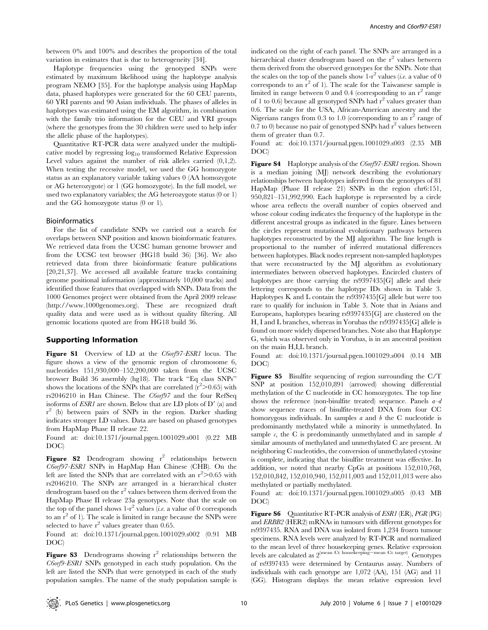between 0% and 100% and describes the proportion of the total variation in estimates that is due to heterogeneity [34].

Haplotype frequencies using the genotyped SNPs were estimated by maximum likelihood using the haplotype analysis program NEMO [35]. For the haplotype analysis using HapMap data, phased haplotypes were generated for the 60 CEU parents, 60 YRI parents and 90 Asian individuals. The phases of alleles in haplotypes was estimated using the EM algorithm, in combination with the family trio information for the CEU and YRI groups (where the genotypes from the 30 children were used to help infer the allelic phase of the haplotypes).

Quantitative RT-PCR data were analyzed under the multiplicative model by regressing  $log_{10}$  transformed Relative Expression Level values against the number of risk alleles carried  $(0,1,2)$ . When testing the recessive model, we used the GG homozygote status as an explanatory variable taking values 0 (AA homozygote or AG heterozygote) or 1 (GG homozygote). In the full model, we used two explanatory variables; the AG heterozygote status (0 or 1) and the GG homozygote status (0 or 1).

## Bioinformatics

For the list of candidate SNPs we carried out a search for overlaps between SNP position and known bioinformatic features. We retrieved data from the UCSC human genome browser and from the UCSC test browser (HG18 build 36) [36]. We also retrieved data from three bioinformatic feature publications [20,21,37]. We accessed all available feature tracks containing genome positional information (approximately 10,000 tracks) and identified those features that overlapped with SNPs. Data from the 1000 Genomes project were obtained from the April 2009 release (http://www.1000genomes.org). These are recognized draft quality data and were used as is without quality filtering. All genomic locations quoted are from HG18 build 36.

## Supporting Information

Figure S1 Overview of LD at the C6orf97-ESR1 locus. The figure shows a view of the genomic region of chromosome 6, nucleotides 151,930,000–152,200,000 taken from the UCSC browser Build 36 assembly (hg18). The track ''Eq class SNPs'' shows the locations of the SNPs that are correlated  $\frac{r^2}{0.65}$  with rs2046210 in Han Chinese. The C6orf97 and the four RefSeq isoforms of  $ESRI$  are shown. Below that are LD plots of  $D'$  (a) and r <sup>2</sup> (b) between pairs of SNPs in the region. Darker shading indicates stronger LD values. Data are based on phased genotypes from HapMap Phase II release 22.

Found at: doi:10.1371/journal.pgen.1001029.s001 (0.22 MB DOC)

**Figure S2** Dendrogram showing  $r^2$  relationships between C6orf97-ESR1 SNPs in HapMap Han Chinese (CHB). On the left are listed the SNPs that are correlated with an  $r^2 > 0.65$  with rs2046210. The SNPs are arranged in a hierarchical cluster dendrogram based on the  $r^2$  values between them derived from the HapMap Phase II release 23a genotypes. Note that the scale on the top of the panel shows  $1-r^2$  values (*i.e.* a value of 0 corresponds to an  $r^2$  of 1). The scale is limited in range because the SNPs were selected to have  $r^2$  values greater than 0.65.

Found at: doi:10.1371/journal.pgen.1001029.s002 (0.91 MB DOC)

**Figure S3** Dendrograms showing  $r^2$  relationships between the C6orf9-ESR1 SNPs genotyped in each study population. On the left are listed the SNPs that were genotyped in each of the study population samples. The name of the study population sample is

indicated on the right of each panel. The SNPs are arranged in a hierarchical cluster dendrogram based on the  $r^2$  values between them derived from the observed genotypes for the SNPs. Note that the scales on the top of the panels show  $1-r^2$  values (*i.e.* a value of 0 corresponds to an  $r^2$  of 1). The scale for the Taiwanese sample is limited in range between 0 and 0.4 (corresponding to an  $r^2$  range of 1 to 0.6) because all genotyped SNPs had  $r^2$  values greater than 0.6. The scale for the USA, African-American ancestry and the Nigerians ranges from 0.3 to 1.0 (corresponding to an  $r^2$  range of 0.7 to 0) because no pair of genotyped SNPs had  $r^2$  values between them of greater than 0.7.

Found at: doi:10.1371/journal.pgen.1001029.s003 (2.35 MB DOC)

Figure S4 Haplotype analysis of the *C6orf97-ESR1* region. Shown is a median joining (MJ) network describing the evolutionary relationships between haplotypes inferred from the genotypes of 81 HapMap (Phase II release 21) SNPs in the region chr6:151, 950,821–151,992,990. Each haplotype is represented by a circle whose area reflects the overall number of copies observed and whose colour coding indicates the frequency of the haplotype in the different ancestral groups as indicated in the figure. Lines between the circles represent mutational evolutionary pathways between haplotypes reconstructed by the MJ algorithm. The line length is proportional to the number of inferred mutational differences between haplotypes. Black nodes represent non-sampled haplotypes that were reconstructed by the MJ algorithm as evolutionary intermediates between observed haplotypes. Encircled clusters of haplotypes are those carrying the rs9397435[G] allele and their lettering corresponds to the haplotype IDs shown in Table 3. Haplotypes K and L contain the rs9397435[G] allele but were too rare to qualify for inclusion in Table 3. Note that in Asians and Europeans, haplotypes bearing rs9397435[G] are clustered on the H, I and L branches, whereas in Yorubas the rs9397435[G] allele is found on more widely dispersed branches. Note also that Haplotype G, which was observed only in Yorubas, is in an ancestral position on the main H,I,L branch.

Found at: doi:10.1371/journal.pgen.1001029.s004 (0.14 MB DOC)

Figure S5 Bisulfite sequencing of region surrounding the C/T SNP at position 152,010,891 (arrowed) showing differential methylation of the C nucleotide in CC homozygotes. The top line shows the reference (non-bisulfite treated) sequence. Panels  $a-d$ show sequence traces of bisulfite-treated DNA from four CC homozygous individuals. In samples  $a$  and  $b$  the C nucleotide is predominantly methylated while a minority is unmethylated. In sample  $c$ , the C is predominantly unmethylated and in sample  $d$ similar amounts of methylated and unmethylated C are present. At neighboring C nucleotides, the conversion of unmethylated cytosine is complete, indicating that the bisulfite treatment was effective. In addition, we noted that nearby CpGs at positions 152,010,768, 152,010,842, 152,010,940, 152,011,003 and 152,011,013 were also methylated or partially methylated.

Found at: doi:10.1371/journal.pgen.1001029.s005 (0.43 MB DOC)

**Figure S6** Quantitative RT-PCR analysis of *ESR1* (ER), *PGR* (PG) and ERBB2 (HER2) mRNAs in tumours with different genotypes for rs9397435. RNA and DNA was isolated from 1,234 frozen tumour specimens. RNA levels were analyzed by RT-PCR and normalized to the mean level of three housekeeping genes. Relative expression levels are calculated as  $2^{\text{(mean Ct housekeeping-mean Ct target)}}$ . Genotypes of rs9397435 were determined by Centaurus assay. Numbers of individuals with each genotype are 1,072 (AA), 151 (AG) and 11 (GG). Histogram displays the mean relative expression level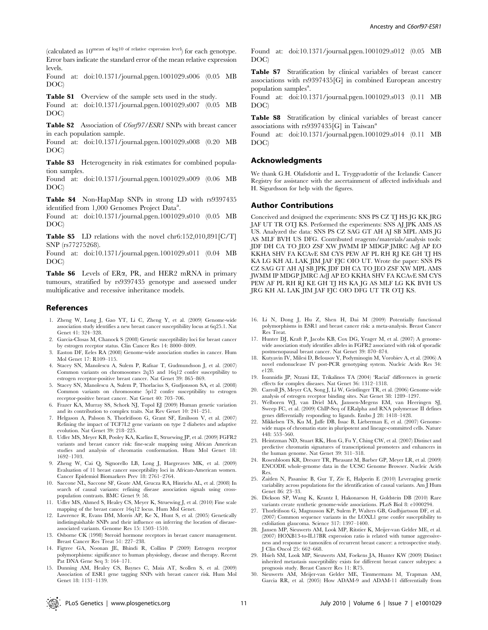Found at: doi:10.1371/journal.pgen.1001029.s006 (0.05 MB DOC)

Table S1 Overview of the sample sets used in the study.

Found at: doi:10.1371/journal.pgen.1001029.s007 (0.05 MB DOC)

Table S2 Association of C6orf97/ESR1 SNPs with breast cancer in each population sample.

Found at: doi:10.1371/journal.pgen.1001029.s008 (0.20 MB DOC)

Table S3 Heterogeneity in risk estimates for combined population samples.

Found at: doi:10.1371/journal.pgen.1001029.s009 (0.06 MB DOC)

Table S4 Non-HapMap SNPs in strong LD with rs9397435 identified from 1,000 Genomes Project Data<sup>a</sup>.

Found at: doi:10.1371/journal.pgen.1001029.s010 (0.05 MB DOC)

Table S5 LD relations with the novel chr6:152,010,891[C/T] SNP (rs77275268).

Found at: doi:10.1371/journal.pgen.1001029.s011 (0.04 MB DOC)

Table S6 Levels of ERa, PR, and HER2 mRNA in primary tumours, stratified by rs9397435 genotype and assessed under multiplicative and recessive inheritance models.

## References

- 1. Zheng W, Long J, Gao YT, Li C, Zheng Y, et al. (2009) Genome-wide association study identifies a new breast cancer susceptibility locus at 6q25.1. Nat Genet 41: 324–328.
- 2. Garcia-Closas M, Chanock S (2008) Genetic susceptibility loci for breast cancer by estrogen receptor status. Clin Cancer Res 14: 8000–8009.
- 3. Easton DF, Eeles RA (2008) Genome-wide association studies in cancer. Hum Mol Genet 17: R109–115.
- 4. Stacey SN, Manolescu A, Sulem P, Rafnar T, Gudmundsson J, et al. (2007) Common variants on chromosomes 2q35 and 16q12 confer susceptibility to estrogen receptor-positive breast cancer. Nat Genet 39: 865–869.
- 5. Stacey SN, Manolescu A, Sulem P, Thorlacius S, Gudjonsson SA, et al. (2008) Common variants on chromosome 5p12 confer susceptibility to estrogen receptor-positive breast cancer. Nat Genet 40: 703–706.
- 6. Frazer KA, Murray SS, Schork NJ, Topol EJ (2009) Human genetic variation and its contribution to complex traits. Nat Rev Genet 10: 241–251.
- 7. Helgason A, Palsson S, Thorleifsson G, Grant SF, Emilsson V, et al. (2007) Refining the impact of TCF7L2 gene variants on type 2 diabetes and adaptive evolution. Nat Genet 39: 218–225.
- 8. Udler MS, Meyer KB, Pooley KA, Karlins E, Struewing JP, et al. (2009) FGFR2 variants and breast cancer risk: fine-scale mapping using African American studies and analysis of chromatin conformation. Hum Mol Genet 18: 1692–1703.
- 9. Zheng W, Cai Q, Signorello LB, Long J, Hargreaves MK, et al. (2009) Evaluation of 11 breast cancer susceptibility loci in African-American women. Cancer Epidemiol Biomarkers Prev 18: 2761–2764.
- 10. Saccone NL, Saccone SF, Goate AM, Grucza RA, Hinrichs AL, et al. (2008) In search of causal variants: refining disease association signals using crosspopulation contrasts. BMC Genet 9: 58.
- 11. Udler MS, Ahmed S, Healey CS, Meyer K, Struewing J, et al. (2010) Fine scale mapping of the breast cancer 16q12 locus. Hum Mol Genet.
- 12. Lawrence R, Evans DM, Morris AP, Ke X, Hunt S, et al. (2005) Genetically indistinguishable SNPs and their influence on inferring the location of diseaseassociated variants. Genome Res 15: 1503–1510.
- 13. Osborne CK (1998) Steroid hormone receptors in breast cancer management. Breast Cancer Res Treat 51: 227–238.
- 14. Figtree GA, Noonan JE, Bhindi R, Collins P (2009) Estrogen receptor polymorphisms: significance to human physiology, disease and therapy. Recent Pat DNA Gene Seq 3: 164–171.
- 15. Dunning AM, Healey CS, Baynes C, Maia AT, Scollen S, et al. (2009) Association of ESR1 gene tagging SNPs with breast cancer risk. Hum Mol Genet 18: 1131–1139.

Found at: doi:10.1371/journal.pgen.1001029.s012 (0.05 MB DOC)

Table S7 Stratification by clinical variables of breast cancer associations with rs9397435[G] in combined European ancestry population samples<sup>a</sup>.

Found at: doi:10.1371/journal.pgen.1001029.s013 (0.11 MB DOC)

Table S8 Stratification by clinical variables of breast cancer associations with  $rs9397435[G]$  in Taiwan<sup>a</sup>

Found at: doi:10.1371/journal.pgen.1001029.s014 (0.11 MB DOC)

## Acknowledgments

We thank G.H. Olafsdottir and L. Tryggvadottir of the Icelandic Cancer Registry for assistance with the ascertainment of affected individuals and H. Sigurdsson for help with the figures.

#### Author Contributions

Conceived and designed the experiments: SNS PS CZ TJ HS JG KK JRG JAF UT TR OTJ KS. Performed the experiments: SNS AJ JPK AMS AS US. Analyzed the data: SNS PS CZ SAG GT AH AJ SB MPL AMS JG AS MLF BVH US DFG. Contributed reagents/materials/analysis tools: JDF DH CA TO JEO ZSF XW JWMM IP MDGP JMRC AdJ AP EO KKHA SHV FA KCAvE SM CYS PEW AF PL RH RJ KE GH TJ HS KA LG KH AL LAK JIM JAF FJC OIO UT. Wrote the paper: SNS PS CZ SAG GT AH AJ SB JPK JDF DH CA TO JEO ZSF XW MPL AMS JWMM IP MDGP JMRC AdJ AP EO KKHA SHV FA KCAvE SM CYS PEW AF PL RH RJ KE GH TJ HS KA JG AS MLF LG KK BVH US JRG KH AL LAK JIM JAF FJC OIO DFG UT TR OTJ KS.

- 16. Li N, Dong J, Hu Z, Shen H, Dai M (2009) Potentially functional polymorphisms in ESR1 and breast cancer risk: a meta-analysis. Breast Cancer Res Treat.
- 17. Hunter DJ, Kraft P, Jacobs KB, Cox DG, Yeager M, et al. (2007) A genomewide association study identifies alleles in FGFR2 associated with risk of sporadic postmenopausal breast cancer. Nat Genet 39: 870–874.
- 18. Kutyavin IV, Milesi D, Belousov Y, Podyminogin M, Vorobiev A, et al. (2006) A novel endonuclease IV post-PCR genotyping system. Nucleic Acids Res 34: e128.
- 19. Ioannidis JP, Ntzani EE, Trikalinos TA (2004) 'Racial' differences in genetic effects for complex diseases. Nat Genet 36: 1312–1318.
- 20. Carroll JS, Meyer CA, Song J, Li W, Geistlinger TR, et al. (2006) Genome-wide analysis of estrogen receptor binding sites. Nat Genet 38: 1289–1297.
- 21. Welboren WJ, van Driel MA, Janssen-Megens EM, van Heeringen SJ, Sweep FC, et al. (2009) ChIP-Seq of ERalpha and RNA polymerase II defines genes differentially responding to ligands. Embo J 28: 1418–1428.
- 22. Mikkelsen TS, Ku M, Jaffe DB, Issac B, Lieberman E, et al. (2007) Genomewide maps of chromatin state in pluripotent and lineage-committed cells. Nature 448: 553–560.
- 23. Heintzman ND, Stuart RK, Hon G, Fu Y, Ching CW, et al. (2007) Distinct and predictive chromatin signatures of transcriptional promoters and enhancers in the human genome. Nat Genet 39: 311–318.
- 24. Rosenbloom KR, Dreszer TR, Pheasant M, Barber GP, Meyer LR, et al. (2009) ENCODE whole-genome data in the UCSC Genome Browser. Nucleic Acids Res.
- 25. Zaitlen N, Pasaniuc B, Gur T, Ziv E, Halperin E (2010) Leveraging genetic variability across populations for the identification of causal variants. Am J Hum Genet 86: 23–33.
- 26. Dickson SP, Wang K, Krantz I, Hakonarson H, Goldstein DB (2010) Rare variants create synthetic genome-wide associations. PLoS Biol 8: e1000294.
- 27. Thorleifsson G, Magnusson KP, Sulem P, Walters GB, Gudbjartsson DF, et al. (2007) Common sequence variants in the LOXL1 gene confer susceptibility to exfoliation glaucoma. Science 317: 1397–1400.
- 28. Jansen MP, Sieuwerts AM, Look MP, Ritstier K, Meijer-van Gelder ME, et al. (2007) HOXB13-to-IL17BR expression ratio is related with tumor aggressiveness and response to tamoxifen of recurrent breast cancer: a retrospective study. J Clin Oncol 25: 662–668.
- 29. Hsieh SM, Look MP, Sieuwerts AM, Foekens JA, Hunter KW (2009) Distinct inherited metastasis susceptibility exists for different breast cancer subtypes: a prognosis study. Breast Cancer Res 11: R75.
- 30. Sieuwerts AM, Meijer-van Gelder ME, Timmermans M, Trapman AM, Garcia RR, et al. (2005) How ADAM-9 and ADAM-11 differentially from